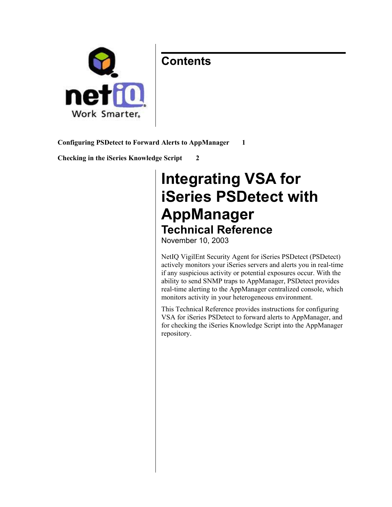### **Contents**



**Configuring PSDetect to Forward Alerts to AppManager 1**

**Checking in the iSeries Knowledge Script 2**

# **Integrating VSA for iSeries PSDetect with AppManager Technical Reference**

November 10, 2003

NetIQ VigilEnt Security Agent for iSeries PSDetect (PSDetect) actively monitors your iSeries servers and alerts you in real-time if any suspicious activity or potential exposures occur. With the ability to send SNMP traps to AppManager, PSDetect provides real-time alerting to the AppManager centralized console, which monitors activity in your heterogeneous environment.

This Technical Reference provides instructions for configuring VSA for iSeries PSDetect to forward alerts to AppManager, and for checking the iSeries Knowledge Script into the AppManager repository.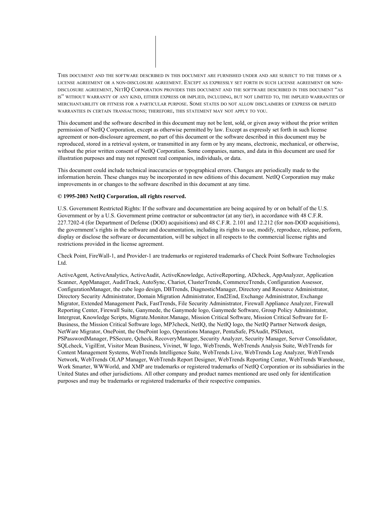

This document and the software described in this document may not be lent, sold, or given away without the prior written permission of NetIQ Corporation, except as otherwise permitted by law. Except as expressly set forth in such license agreement or non-disclosure agreement, no part of this document or the software described in this document may be reproduced, stored in a retrieval system, or transmitted in any form or by any means, electronic, mechanical, or otherwise, without the prior written consent of NetIQ Corporation. Some companies, names, and data in this document are used for illustration purposes and may not represent real companies, individuals, or data.

This document could include technical inaccuracies or typographical errors. Changes are periodically made to the information herein. These changes may be incorporated in new editions of this document. NetIQ Corporation may make improvements in or changes to the software described in this document at any time.

#### **© 1995-2003 NetIQ Corporation, all rights reserved.**

U.S. Government Restricted Rights: If the software and documentation are being acquired by or on behalf of the U.S. Government or by a U.S. Government prime contractor or subcontractor (at any tier), in accordance with 48 C.F.R. 227.7202-4 (for Department of Defense (DOD) acquisitions) and 48 C.F.R. 2.101 and 12.212 (for non-DOD acquisitions), the government's rights in the software and documentation, including its rights to use, modify, reproduce, release, perform, display or disclose the software or documentation, will be subject in all respects to the commercial license rights and restrictions provided in the license agreement.

Check Point, FireWall-1, and Provider-1 are trademarks or registered trademarks of Check Point Software Technologies Ltd.

ActiveAgent, ActiveAnalytics, ActiveAudit, ActiveKnowledge, ActiveReporting, ADcheck, AppAnalyzer, Application Scanner, AppManager, AuditTrack, AutoSync, Chariot, ClusterTrends, CommerceTrends, Configuration Assessor, ConfigurationManager, the cube logo design, DBTrends, DiagnosticManager, Directory and Resource Administrator, Directory Security Administrator, Domain Migration Administrator, End2End, Exchange Administrator, Exchange Migrator, Extended Management Pack, FastTrends, File Security Administrator, Firewall Appliance Analyzer, Firewall Reporting Center, Firewall Suite, Ganymede, the Ganymede logo, Ganymede Software, Group Policy Administrator, Intergreat, Knowledge Scripts, Migrate.Monitor.Manage, Mission Critical Software, Mission Critical Software for E-Business, the Mission Critical Software logo, MP3check, NetIQ, the NetIQ logo, the NetIQ Partner Network design, NetWare Migrator, OnePoint, the OnePoint logo, Operations Manager, PentaSafe, PSAudit, PSDetect, PSPasswordManager, PSSecure, Qcheck, RecoveryManager, Security Analyzer, Security Manager, Server Consolidator, SQLcheck, VigilEnt, Visitor Mean Business, Vivinet, W logo, WebTrends, WebTrends Analysis Suite, WebTrends for Content Management Systems, WebTrends Intelligence Suite, WebTrends Live, WebTrends Log Analyzer, WebTrends Network, WebTrends OLAP Manager, WebTrends Report Designer, WebTrends Reporting Center, WebTrends Warehouse, Work Smarter, WWWorld, and XMP are trademarks or registered trademarks of NetIQ Corporation or its subsidiaries in the United States and other jurisdictions. All other company and product names mentioned are used only for identification purposes and may be trademarks or registered trademarks of their respective companies.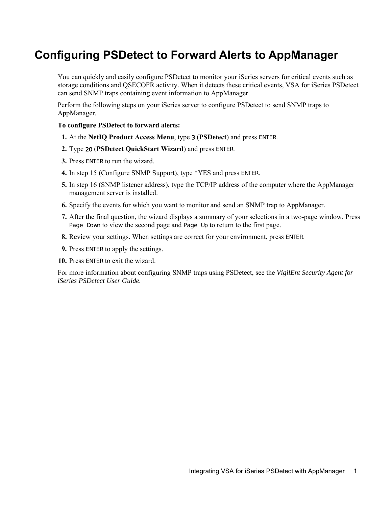### **Configuring PSDetect to Forward Alerts to AppManager**

You can quickly and easily configure PSDetect to monitor your iSeries servers for critical events such as storage conditions and QSECOFR activity. When it detects these critical events, VSA for iSeries PSDetect can send SNMP traps containing event information to AppManager.

Perform the following steps on your iSeries server to configure PSDetect to send SNMP traps to AppManager.

#### **To configure PSDetect to forward alerts:**

- **1.** At the **NetIQ Product Access Menu**, type 3 (**PSDetect**) and press ENTER.
- **2.** Type 20 (**PSDetect QuickStart Wizard**) and press ENTER.
- **3.** Press ENTER to run the wizard.
- **4.** In step 15 (Configure SNMP Support), type \*YES and press ENTER.
- **5.** In step 16 (SNMP listener address), type the TCP/IP address of the computer where the AppManager management server is installed.
- **6.** Specify the events for which you want to monitor and send an SNMP trap to AppManager.
- **7.** After the final question, the wizard displays a summary of your selections in a two-page window. Press Page Down to view the second page and Page Up to return to the first page.
- **8.** Review your settings. When settings are correct for your environment, press ENTER.
- **9.** Press ENTER to apply the settings.
- **10.** Press ENTER to exit the wizard.

For more information about configuring SNMP traps using PSDetect, see the *VigilEnt Security Agent for iSeries PSDetect User Guide.*